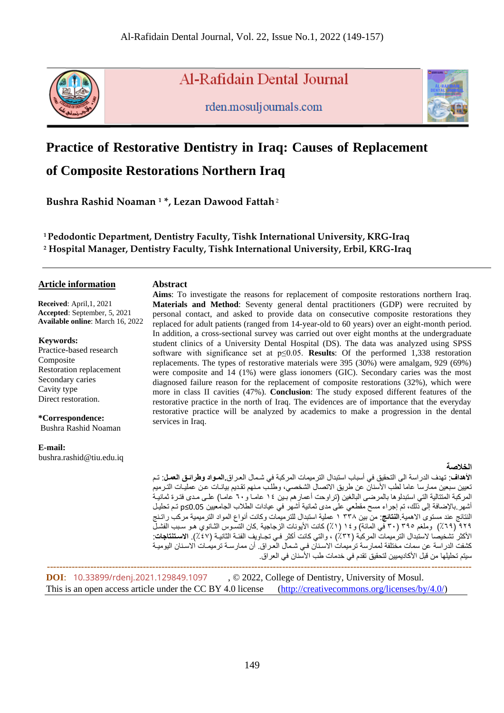

Al-Rafidain Dental Journal

rden.mosuljournals.com



# **Practice of Restorative Dentistry in Iraq: Causes of Replacement**

**of Composite Restorations Northern Iraq**

**Bushra Rashid Noaman <sup>1</sup> \*, Lezan Dawood Fattah**<sup>2</sup>

 **Abstract**

**<sup>1</sup>Pedodontic Department, Dentistry Faculty, Tishk International University, KRG-Iraq <sup>2</sup> Hospital Manager, Dentistry Faculty, Tishk International University, Erbil, KRG-Iraq**

# **Article information**

 **Received**: April,1, 2021  **Accepted**: September, 5, 2021  **Available online**: March 16, 2022

#### **Keywords:**

Practice-based research Composite Restoration replacement Secondary caries Cavity type Direct restoration.

### **\*Correspondence:**

Bushra Rashid Noaman

#### **E-mail:**

bushra.rashid@tiu.edu.iq

**Aims**: To investigate the reasons for replacement of composite restorations northern Iraq. **Materials and Method**: Seventy general dental practitioners (GDP) were recruited by personal contact, and asked to provide data on consecutive composite restorations they replaced for adult patients (ranged from 14-year-old to 60 years) over an eight-month period. In addition, a cross-sectional survey was carried out over eight months at the undergraduate student clinics of a University Dental Hospital (DS). The data was analyzed using SPSS software with significance set at p≤0.05. **Results**: Of the performed 1,338 restoration replacements. The types of restorative materials were 395 (30%) were amalgam, 929 (69%) were composite and 14 (1%) were glass ionomers (GIC). Secondary caries was the most diagnosed failure reason for the replacement of composite restorations (32%), which were more in class II cavities (47%). **Conclusion**: The study exposed different features of the restorative practice in the north of Iraq. The evidences are of importance that the everyday restorative practice will be analyzed by academics to make a progression in the dental services in Iraq.

### **الخالصة**

**األهداف**: تهدف الدراسة الى التحقيق في أسباب استبدال الترميمات المركبة في شممال الرمرا **.المواادوارااقواوالعمو** : تم تعيين سبعين ممارسا عاما لطب الأسنان عن طريق الاتصال الشخصي، وطلب منهم تقديم بيانـات عن عمليـات الترميم المركبة المتتالية التي استبدلوها بالمرضى البالغين (تراوحت أعمارهم بين ١٤ عامـا و٢٠ عامـا) علـى مـدى فتـرة ثمانيـة أشهر بالإضافة إلى ذلك، تم إجراء مسح مقطعي على مدى ثمانية أشهر في عيادات الطلاب الجامعيين 0.05≥p تم تحليل النتائج عند مستوت االهمية.**النتاقج**: من بين 338 1 عملية استبدال للترميمات وكانت أنواع المواد الترميمية مركب راتمنج ٩٢٩ (٦٩٪) وملغم ٣٠٥ (٣٠ في المائة) و١٤ (١٪) كانت الأيونات الزجاجية .كان التسوس الثـانوي هـو سـبب الفشـل الأكثر تشخيصا لاستبدال الترميمات المركبة (٣٢٪) ، والتي كانت أكثر فـي تجـاويف الفئـة الثانيـة (٤٧٪). ا**لاستنتاجات**: كشفت الدر اسة عن سمات مختلفة لممارسة ترميمات الاسنان فـي شمال العراق. أن ممارسـة ترميمـات الاسـنان اليوميـة سيتم تحليلها من قبل الأكاديميين لتحقيق تقدم في خدمات طب الأسنان في العراق.

 **----------------------------------------------------------------------------------------------------------------------------------------- DOI**: [10.33899/rdenj.2021.129849.1097](http://dx.doi.org/10.33899/rdenj.2021.129849.1097), © 2022, College of Dentistry, University of Mosul. This is an open access article under the CC BY 4.0 license [\(http://creativecommons.org/licenses/by/4.0/\)](http://creativecommons.org/licenses/by/4.0/)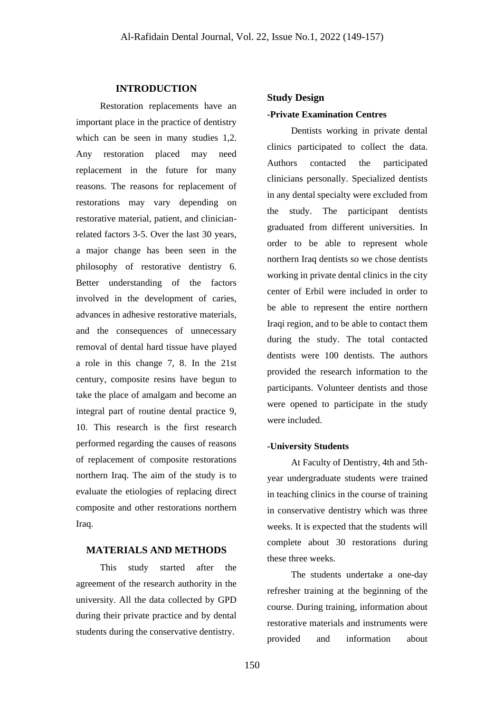# **INTRODUCTION**

Restoration replacements have an important place in the practice of dentistry which can be seen in many studies 1,2. Any restoration placed may need replacement in the future for many reasons. The reasons for replacement of restorations may vary depending on restorative material, patient, and clinicianrelated factors 3-5. Over the last 30 years, a major change has been seen in the philosophy of restorative dentistry 6. Better understanding of the factors involved in the development of caries, advances in adhesive restorative materials, and the consequences of unnecessary removal of dental hard tissue have played a role in this change 7, 8. In the 21st century, composite resins have begun to take the place of amalgam and become an integral part of routine dental practice 9, 10. This research is the first research performed regarding the causes of reasons of replacement of composite restorations northern Iraq. The aim of the study is to evaluate the etiologies of replacing direct composite and other restorations northern Iraq.

## **MATERIALS AND METHODS**

This study started after the agreement of the research authority in the university. All the data collected by GPD during their private practice and by dental students during the conservative dentistry.

# **Study Design**

### **-Private Examination Centres**

Dentists working in private dental clinics participated to collect the data. Authors contacted the participated clinicians personally. Specialized dentists in any dental specialty were excluded from the study. The participant dentists graduated from different universities. In order to be able to represent whole northern Iraq dentists so we chose dentists working in private dental clinics in the city center of Erbil were included in order to be able to represent the entire northern Iraqi region, and to be able to contact them during the study. The total contacted dentists were 100 dentists. The authors provided the research information to the participants. Volunteer dentists and those were opened to participate in the study were included.

#### **-University Students**

At Faculty of Dentistry, 4th and 5thyear undergraduate students were trained in teaching clinics in the course of training in conservative dentistry which was three weeks. It is expected that the students will complete about 30 restorations during these three weeks.

The students undertake a one-day refresher training at the beginning of the course. During training, information about restorative materials and instruments were provided and information about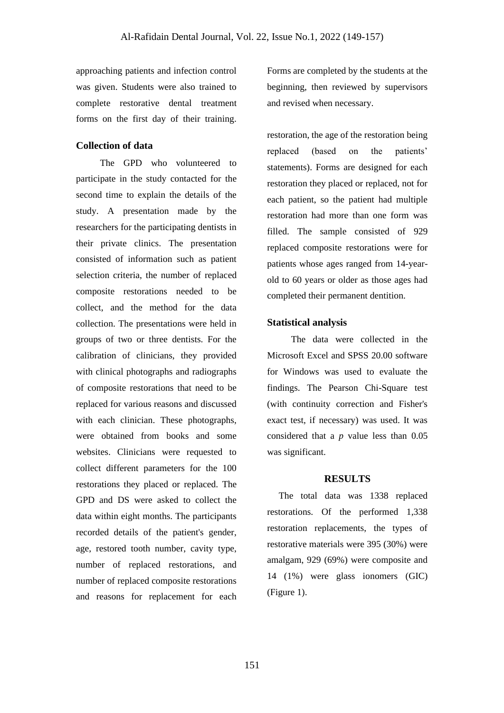approaching patients and infection control was given. Students were also trained to complete restorative dental treatment forms on the first day of their training.

# **Collection of data**

The GPD who volunteered to participate in the study contacted for the second time to explain the details of the study. A presentation made by the researchers for the participating dentists in their private clinics. The presentation consisted of information such as patient selection criteria, the number of replaced composite restorations needed to be collect, and the method for the data collection. The presentations were held in groups of two or three dentists. For the calibration of clinicians, they provided with clinical photographs and radiographs of composite restorations that need to be replaced for various reasons and discussed with each clinician. These photographs, were obtained from books and some websites. Clinicians were requested to collect different parameters for the 100 restorations they placed or replaced. The GPD and DS were asked to collect the data within eight months. The participants recorded details of the patient's gender, age, restored tooth number, cavity type, number of replaced restorations, and number of replaced composite restorations and reasons for replacement for each

Forms are completed by the students at the beginning, then reviewed by supervisors and revised when necessary.

restoration, the age of the restoration being replaced (based on the patients' statements). Forms are designed for each restoration they placed or replaced, not for each patient, so the patient had multiple restoration had more than one form was filled. The sample consisted of 929 replaced composite restorations were for patients whose ages ranged from 14-yearold to 60 years or older as those ages had completed their permanent dentition.

#### **Statistical analysis**

The data were collected in the Microsoft Excel and SPSS 20.00 software for Windows was used to evaluate the findings. The Pearson Chi-Square test (with continuity correction and Fisher's exact test, if necessary) was used. It was considered that a *p* value less than 0.05 was significant.

#### **RESULTS**

 The total data was 1338 replaced restorations. Of the performed 1,338 restoration replacements, the types of restorative materials were 395 (30%) were amalgam, 929 (69%) were composite and 14 (1%) were glass ionomers (GIC) (Figure 1).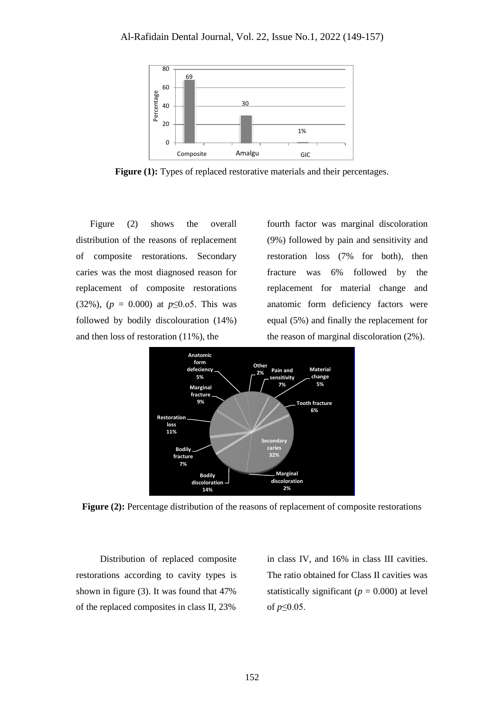

**Figure (1):** Types of replaced restorative materials and their percentages.

 Figure (2) shows the overall distribution of the reasons of replacement of composite restorations. Secondary caries was the most diagnosed reason for replacement of composite restorations (32%), (*p* = 0.000) at *p*≤0.o5. This was followed by bodily discolouration (14%) and then loss of restoration (11%), the

fourth factor was marginal discoloration (9%) followed by pain and sensitivity and restoration loss (7% for both), then fracture was 6% followed by the replacement for material change and anatomic form deficiency factors were equal (5%) and finally the replacement for the reason of marginal discoloration (2%).



Figure (2): Percentage distribution of the reasons of replacement of composite restorations

Distribution of replaced composite restorations according to cavity types is shown in figure (3). It was found that 47% of the replaced composites in class II, 23%

in class IV, and 16% in class III cavities. The ratio obtained for Class II cavities was statistically significant ( $p = 0.000$ ) at level of *p*≤0.05.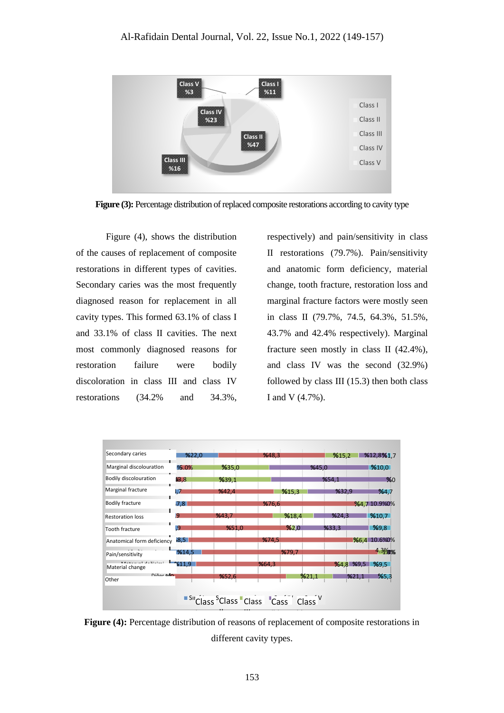

**Figure (3):** Percentage distribution of replaced composite restorations according to cavity type

Figure (4), shows the distribution of the causes of replacement of composite restorations in different types of cavities. Secondary caries was the most frequently diagnosed reason for replacement in all cavity types. This formed 63.1% of class I and 33.1% of class II cavities. The next most commonly diagnosed reasons for restoration failure were bodily discoloration in class III and class IV restorations (34.2% and 34.3%,

respectively) and pain/sensitivity in class II restorations (79.7%). Pain/sensitivity and anatomic form deficiency, material change, tooth fracture, restoration loss and marginal fracture factors were mostly seen in class II (79.7%, 74.5, 64.3%, 51.5%, 43.7% and 42.4% respectively). Marginal fracture seen mostly in class II (42.4%), and class IV was the second (32.9%) followed by class III (15.3) then both class I and V (4.7%).



**Figure (4):** Percentage distribution of reasons of replacement of composite restorations in different cavity types.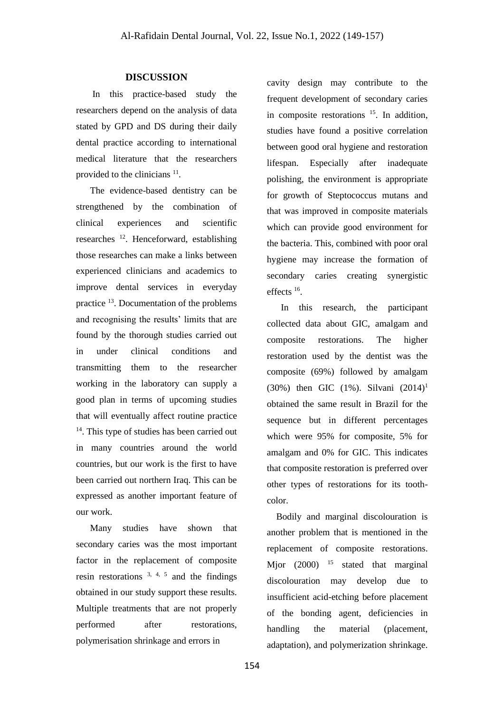#### **DISCUSSION**

 In this practice-based study the researchers depend on the analysis of data stated by GPD and DS during their daily dental practice according to international medical literature that the researchers provided to the clinicians <sup>11</sup>.

 The evidence-based dentistry can be strengthened by the combination of clinical experiences and scientific researches <sup>12</sup>. Henceforward, establishing those researches can make a links between experienced clinicians and academics to improve dental services in everyday practice <sup>13</sup>. Documentation of the problems and recognising the results' limits that are found by the thorough studies carried out in under clinical conditions and transmitting them to the researcher working in the laboratory can supply a good plan in terms of upcoming studies that will eventually affect routine practice <sup>14</sup>. This type of studies has been carried out in many countries around the world countries, but our work is the first to have been carried out northern Iraq. This can be expressed as another important feature of our work.

 Many studies have shown that secondary caries was the most important factor in the replacement of composite resin restorations  $3, 4, 5$  and the findings obtained in our study support these results. Multiple treatments that are not properly performed after restorations, polymerisation shrinkage and errors in

cavity design may contribute to the frequent development of secondary caries in composite restorations <sup>15</sup>. In addition, studies have found a positive correlation between good oral hygiene and restoration lifespan. Especially after inadequate polishing, the environment is appropriate for growth of Steptococcus mutans and that was improved in composite materials which can provide good environment for the bacteria. This, combined with poor oral hygiene may increase the formation of secondary caries creating synergistic effects <sup>16</sup> .

 In this research, the participant collected data about GIC, amalgam and composite restorations. The higher restoration used by the dentist was the composite (69%) followed by amalgam (30%) then GIC  $(1\%)$ . Silvani  $(2014)^1$ obtained the same result in Brazil for the sequence but in different percentages which were 95% for composite, 5% for amalgam and 0% for GIC. This indicates that composite restoration is preferred over other types of restorations for its toothcolor.

 Bodily and marginal discolouration is another problem that is mentioned in the replacement of composite restorations. Mjor  $(2000)$  <sup>15</sup> stated that marginal discolouration may develop due to insufficient acid-etching before placement of the bonding agent, deficiencies in handling the material (placement, adaptation), and polymerization shrinkage.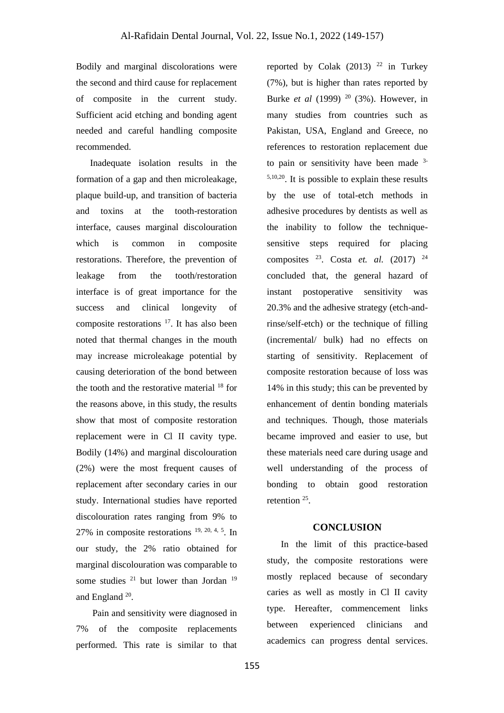Bodily and marginal discolorations were the second and third cause for replacement of composite in the current study. Sufficient acid etching and bonding agent needed and careful handling composite recommended.

 Inadequate isolation results in the formation of a gap and then microleakage, plaque build-up, and transition of bacteria and toxins at the tooth-restoration interface, causes marginal discolouration which is common in composite restorations. Therefore, the prevention of leakage from the tooth/restoration interface is of great importance for the success and clinical longevity of composite restorations <sup>17</sup>. It has also been noted that thermal changes in the mouth may increase microleakage potential by causing deterioration of the bond between the tooth and the restorative material  $18$  for the reasons above, in this study, the results show that most of composite restoration replacement were in Cl II cavity type. Bodily (14%) and marginal discolouration (2%) were the most frequent causes of replacement after secondary caries in our study. International studies have reported discolouration rates ranging from 9% to 27% in composite restorations  $19, 20, 4, 5$ . In our study, the 2% ratio obtained for marginal discolouration was comparable to some studies <sup>21</sup> but lower than Jordan <sup>19</sup> and England<sup>20</sup>.

 Pain and sensitivity were diagnosed in 7% of the composite replacements performed. This rate is similar to that reported by Colak  $(2013)$ <sup>22</sup> in Turkey (7%), but is higher than rates reported by Burke *et al* (1999) <sup>20</sup> (3%). However, in many studies from countries such as Pakistan, USA, England and Greece, no references to restoration replacement due to pain or sensitivity have been made <sup>3-</sup>  $5,10,20$ . It is possible to explain these results by the use of total-etch methods in adhesive procedures by dentists as well as the inability to follow the techniquesensitive steps required for placing composites <sup>23</sup> . Costa *et. al.* (2017) <sup>24</sup> concluded that, the general hazard of instant postoperative sensitivity was 20.3% and the adhesive strategy (etch-andrinse/self-etch) or the technique of filling (incremental/ bulk) had no effects on starting of sensitivity. Replacement of composite restoration because of loss was 14% in this study; this can be prevented by enhancement of dentin bonding materials and techniques. Though, those materials became improved and easier to use, but these materials need care during usage and well understanding of the process of bonding to obtain good restoration retention <sup>25</sup>.

### **CONCLUSION**

 In the limit of this practice-based study, the composite restorations were mostly replaced because of secondary caries as well as mostly in Cl II cavity type. Hereafter, commencement links between experienced clinicians and academics can progress dental services.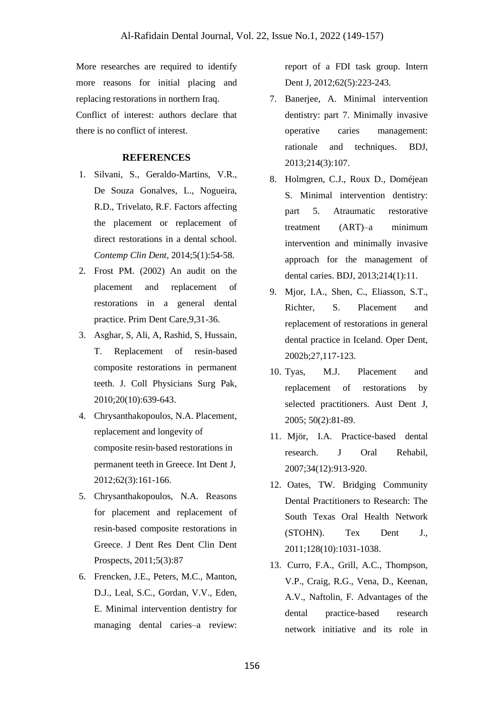More researches are required to identify more reasons for initial placing and replacing restorations in northern Iraq. Conflict of interest: authors declare that there is no conflict of interest.

### **REFERENCES**

- 1. Silvani, S., Geraldo-Martins, V.R., De Souza Gonalves, L., Nogueira, R.D., Trivelato, R.F. Factors affecting the placement or replacement of direct restorations in a dental school. *Contemp Clin Dent*, 2014;5(1):54-58.
- 2. Frost PM. (2002) An audit on the placement and replacement of restorations in a general dental practice. Prim Dent Care,9,31-36.
- 3. Asghar, S, Ali, A, Rashid, S, Hussain, T. Replacement of resin-based composite restorations in permanent teeth. J. Coll Physicians Surg Pak, 2010;20(10):639-643.
- 4. Chrysanthakopoulos, N.A. Placement, replacement and longevity of composite resin‐based restorations in permanent teeth in Greece. Int Dent J, 2012;62(3):161-166.
- 5. Chrysanthakopoulos, N.A. Reasons for placement and replacement of resin-based composite restorations in Greece. J Dent Res Dent Clin Dent Prospects, 2011;5(3):87
- 6. Frencken, J.E., Peters, M.C., Manton, D.J., Leal, S.C., Gordan, V.V., Eden, E. Minimal intervention dentistry for managing dental caries–a review:

report of a FDI task group. Intern Dent J, 2012;62(5):223-243.

- 7. Banerjee, A. Minimal intervention dentistry: part 7. Minimally invasive operative caries management: rationale and techniques. BDJ, 2013;214(3):107.
- 8. Holmgren, C.J., Roux D., Doméjean S. Minimal intervention dentistry: part 5. Atraumatic restorative treatment (ART)–a minimum intervention and minimally invasive approach for the management of dental caries. BDJ, 2013;214(1):11.
- 9. Mjor, I.A., Shen, C., Eliasson, S.T., Richter, S. Placement and replacement of restorations in general dental practice in Iceland. Oper Dent, 2002b;27,117-123.
- 10. Tyas, M.J. Placement and replacement of restorations by selected practitioners. Aust Dent J, 2005; 50(2):81-89.
- 11. Mjör, I.A. Practice‐based dental research. J Oral Rehabil, 2007;34(12):913-920.
- 12. Oates, TW. Bridging Community Dental Practitioners to Research: The South Texas Oral Health Network (STOHN). Tex Dent J., 2011;128(10):1031-1038.
- 13. Curro, F.A., Grill, A.C., Thompson, V.P., Craig, R.G., Vena, D., Keenan, A.V., Naftolin, F. Advantages of the dental practice-based research network initiative and its role in